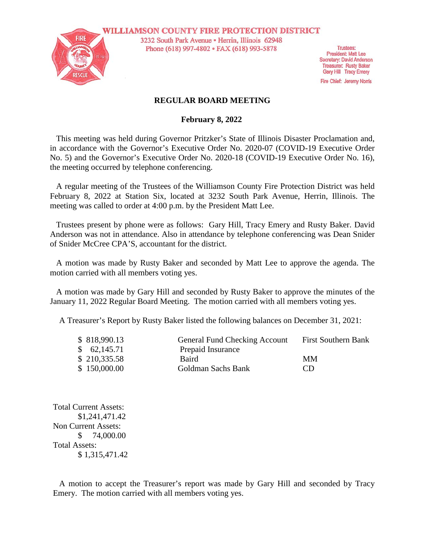

**WILLIAMSON COUNTY FIRE PROTECTION DISTRICT** 3232 South Park Avenue · Herrin, Illinois 62948 Phone (618) 997-4802 · FAX (618) 993-5878

**Trustees: President: Matt Lee** Secretary: David Anderson **Treasurer: Rusty Baker** Gary Hill Tracy Emery

Fire Chief: Jeremy Norris

## **REGULAR BOARD MEETING**

### **February 8, 2022**

This meeting was held during Governor Pritzker's State of Illinois Disaster Proclamation and, in accordance with the Governor's Executive Order No. 2020-07 (COVID-19 Executive Order No. 5) and the Governor's Executive Order No. 2020-18 (COVID-19 Executive Order No. 16), the meeting occurred by telephone conferencing.

A regular meeting of the Trustees of the Williamson County Fire Protection District was held February 8, 2022 at Station Six, located at 3232 South Park Avenue, Herrin, Illinois. The meeting was called to order at 4:00 p.m. by the President Matt Lee.

Trustees present by phone were as follows: Gary Hill, Tracy Emery and Rusty Baker. David Anderson was not in attendance. Also in attendance by telephone conferencing was Dean Snider of Snider McCree CPA'S, accountant for the district.

A motion was made by Rusty Baker and seconded by Matt Lee to approve the agenda. The motion carried with all members voting yes.

A motion was made by Gary Hill and seconded by Rusty Baker to approve the minutes of the January 11, 2022 Regular Board Meeting. The motion carried with all members voting yes.

A Treasurer's Report by Rusty Baker listed the following balances on December 31, 2021:

| \$818,990.13 | <b>General Fund Checking Account</b> | <b>First Southern Bank</b> |
|--------------|--------------------------------------|----------------------------|
| \$62,145.71  | Prepaid Insurance                    |                            |
| \$210,335.58 | Baird                                | MМ                         |
| \$150,000.00 | Goldman Sachs Bank                   | CD.                        |

Total Current Assets: \$1,241,471.42 Non Current Assets: \$ 74,000.00 Total Assets: \$ 1,315,471.42

A motion to accept the Treasurer's report was made by Gary Hill and seconded by Tracy Emery. The motion carried with all members voting yes.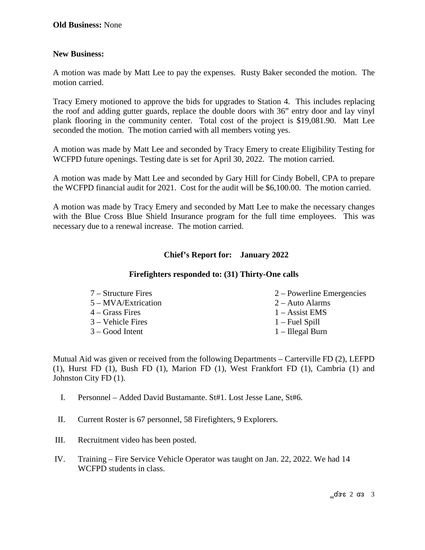# **New Business:**

A motion was made by Matt Lee to pay the expenses. Rusty Baker seconded the motion. The motion carried.

Tracy Emery motioned to approve the bids for upgrades to Station 4. This includes replacing the roof and adding gutter guards, replace the double doors with 36" entry door and lay vinyl plank flooring in the community center. Total cost of the project is \$19,081.90. Matt Lee seconded the motion. The motion carried with all members voting yes.

A motion was made by Matt Lee and seconded by Tracy Emery to create Eligibility Testing for WCFPD future openings. Testing date is set for April 30, 2022. The motion carried.

A motion was made by Matt Lee and seconded by Gary Hill for Cindy Bobell, CPA to prepare the WCFPD financial audit for 2021. Cost for the audit will be \$6,100.00. The motion carried.

A motion was made by Tracy Emery and seconded by Matt Lee to make the necessary changes with the Blue Cross Blue Shield Insurance program for the full time employees. This was necessary due to a renewal increase. The motion carried.

# **Chief's Report for: January 2022**

### **Firefighters responded to: (31) Thirty-One calls**

| 7 – Structure Fires | $2 -$ Powerline Emergencies |
|---------------------|-----------------------------|
| 5 – MVA/Extrication | $2 -$ Auto Alarms           |
| 4 – Grass Fires     | $1 -$ Assist EMS            |
| 3 – Vehicle Fires   | $1 -$ Fuel Spill            |
| 3 – Good Intent     | $1$ – Illegal Burn          |
|                     |                             |

Mutual Aid was given or received from the following Departments – Carterville FD (2), LEFPD (1), Hurst FD (1), Bush FD (1), Marion FD (1), West Frankfort FD (1), Cambria (1) and Johnston City FD (1).

- I. Personnel Added David Bustamante. St#1. Lost Jesse Lane, St#6.
- II. Current Roster is 67 personnel, 58 Firefighters, 9 Explorers.
- III. Recruitment video has been posted.
- IV. Training Fire Service Vehicle Operator was taught on Jan. 22, 2022. We had 14 WCFPD students in class.